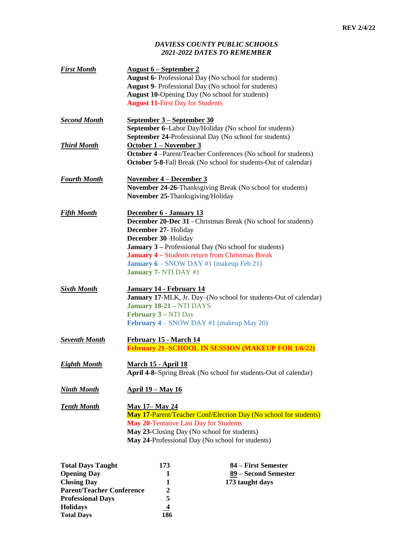## *DAVIESS COUNTY PUBLIC SCHOOLS 2021-2022 DATES TO REMEMBER*

| <b>First Month</b>       | <u>August 6 – September 2</u><br><b>August 11-First Day for Students</b>                                                                                                                                                     | August 6- Professional Day (No school for students)<br><b>August 9-</b> Professional Day (No school for students)<br><b>August 10-Opening Day (No school for students)</b>                                                                        |  |
|--------------------------|------------------------------------------------------------------------------------------------------------------------------------------------------------------------------------------------------------------------------|---------------------------------------------------------------------------------------------------------------------------------------------------------------------------------------------------------------------------------------------------|--|
| Second Month             | <u>September 3 – September 30</u>                                                                                                                                                                                            | September 6-Labor Day/Holiday (No school for students)                                                                                                                                                                                            |  |
| <b>Third Month</b>       | <b>September 24-Professional Day (No school for students)</b><br>October 1 – November 3<br>October 4 -Parent/Teacher Conferences (No school for students)<br>October 5-8-Fall Break (No school for students-Out of calendar) |                                                                                                                                                                                                                                                   |  |
| <b>Fourth Month</b>      | <b>November 4 – December 3</b><br>November 25-Thanksgiving/Holiday                                                                                                                                                           | November 24-26-Thanksgiving Break (No school for students)                                                                                                                                                                                        |  |
| <u>Fifth Month</u>       | December 6 - January 13<br>December 27- Holiday<br>December 30-Holiday<br>January 7- NTI DAY #1                                                                                                                              | <b>December 20-Dec 31 - Christmas Break (No school for students)</b><br><b>January 3 – Professional Day (No school for students)</b><br><b>January 4 - Students return from Christmas Break</b><br><b>January 6</b> – SNOW DAY #1 (makeup Feb 21) |  |
| <b>Sixth Month</b>       | January 14 - February 14<br>January 18-21 - NTI DAYS<br><b>February 3 – NTI Day</b>                                                                                                                                          | <b>January 17-MLK</b> , Jr. Day–(No school for students-Out of calendar)<br><b>February 4</b> – SNOW DAY #1 (makeup May 20)                                                                                                                       |  |
| Seventh Month            | February 15 - March 14<br><b>February 21-SCHOOL IN SESSION (MAKEUP FOR 1/6/22)</b>                                                                                                                                           |                                                                                                                                                                                                                                                   |  |
| <u>Eighth Month</u>      | March 15 - April 18<br>April 4-8–Spring Break (No school for students-Out of calendar)                                                                                                                                       |                                                                                                                                                                                                                                                   |  |
| Ninth Month              | <u> April 19 – May 16</u>                                                                                                                                                                                                    |                                                                                                                                                                                                                                                   |  |
| <b>Tenth Month</b>       | <b>May 17– May 24</b><br>May 20-Tentative Last Day for Students                                                                                                                                                              | <b>May 17-Parent/Teacher Conf/Election Day (No school for students)</b><br>May 23-Closing Day (No school for students)<br>May 24-Professional Day (No school for students)                                                                        |  |
| <b>Total Days Taught</b> | 173                                                                                                                                                                                                                          | 84 – First Semester                                                                                                                                                                                                                               |  |

| <b>TOTAL DAVS LAUGHT</b>         | 175            | 84 – First Semester  |
|----------------------------------|----------------|----------------------|
| <b>Opening Day</b>               |                | 89 – Second Semester |
| <b>Closing Day</b>               |                | 173 taught days      |
| <b>Parent/Teacher Conference</b> |                |                      |
| <b>Professional Days</b>         |                |                      |
| <b>Holidays</b>                  | $\overline{4}$ |                      |
| <b>Total Days</b>                | 186            |                      |